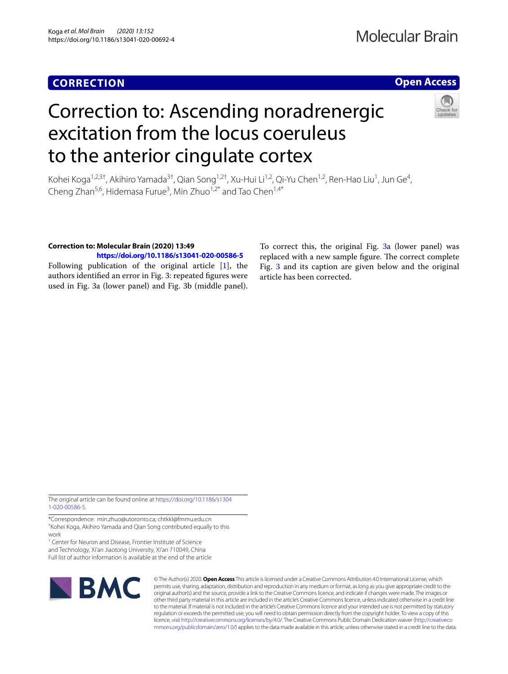## **CORRECTION**

## **Open Access**

# Correction to: Ascending noradrenergic excitation from the locus coeruleus to the anterior cingulate cortex



Kohei Koga<sup>1,2,3†</sup>, Akihiro Yamada<sup>3†</sup>, Qian Song<sup>1,2†</sup>, Xu-Hui Li<sup>1,2</sup>, Qi-Yu Chen<sup>1,2</sup>, Ren-Hao Liu<sup>1</sup>, Jun Ge<sup>4</sup>, Cheng Zhan<sup>5,6</sup>, Hidemasa Furue<sup>3</sup>, Min Zhuo<sup>1,2\*</sup> and Tao Chen<sup>1,4\*</sup>

### **Correction to: Molecular Brain (2020) 13:49**

**<https://doi.org/10.1186/s13041-020-00586-5>**

Following publication of the original article [\[1\]](#page-2-0), the authors identifed an error in Fig. 3: repeated fgures were used in Fig. 3a (lower panel) and Fig. 3b (middle panel). To correct this, the original Fig. [3a](#page-1-0) (lower panel) was replaced with a new sample figure. The correct complete Fig. [3](#page-1-0) and its caption are given below and the original article has been corrected.

The original article can be found online at [https://doi.org/10.1186/s1304](https://doi.org/10.1186/s13041-020-00586-5) [1-020-00586-5.](https://doi.org/10.1186/s13041-020-00586-5)

\*Correspondence: min.zhuo@utoronto.ca; chtkkl@fmmu.edu.cn † Kohei Koga, Akihiro Yamada and Qian Song contributed equally to this work

<sup>1</sup> Center for Neuron and Disease, Frontier Institute of Science and Technology, Xi'an Jiaotong University, Xi'an 710049, China Full list of author information is available at the end of the article



© The Author(s) 2020. **Open Access** This article is licensed under a Creative Commons Attribution 4.0 International License, which permits use, sharing, adaptation, distribution and reproduction in any medium or format, as long as you give appropriate credit to the original author(s) and the source, provide a link to the Creative Commons licence, and indicate if changes were made. The images or other third party material in this article are included in the article's Creative Commons licence, unless indicated otherwise in a credit line to the material. If material is not included in the article's Creative Commons licence and your intended use is not permitted by statutory regulation or exceeds the permitted use, you will need to obtain permission directly from the copyright holder. To view a copy of this licence, visit [http://creativecommons.org/licenses/by/4.0/.](http://creativecommons.org/licenses/by/4.0/) The Creative Commons Public Domain Dedication waiver ([http://creativeco](http://creativecommons.org/publicdomain/zero/1.0/) [mmons.org/publicdomain/zero/1.0/](http://creativecommons.org/publicdomain/zero/1.0/)) applies to the data made available in this article, unless otherwise stated in a credit line to the data.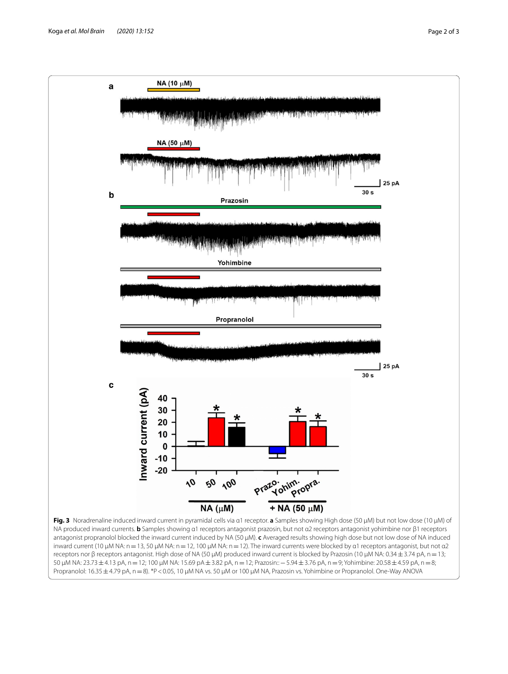<span id="page-1-0"></span>